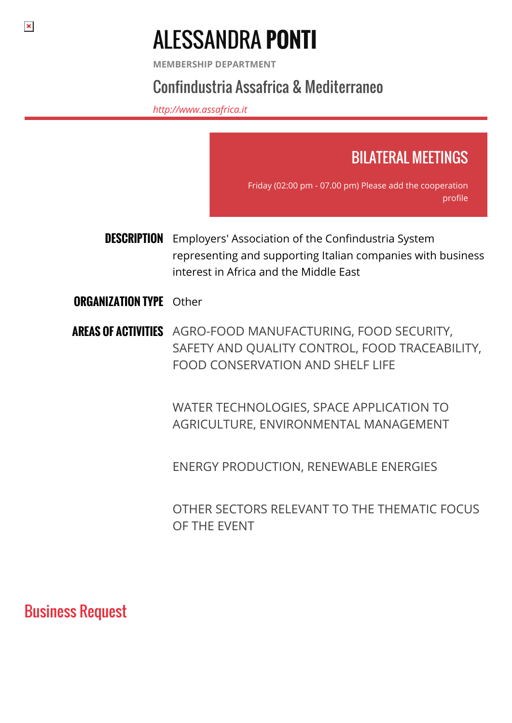# ALESSANDRA **PONTI**

**MEMBERSHIP DEPARTMENT**

# Confindustria Assafrica & Mediterraneo

*<http://www.assafrica.it>*



representing and supporting Italian companies with business interest in Africa and the Middle East

#### **ORGANIZATION TYPE Other**

**AREAS OF ACTIVITIES** AGRO-FOOD MANUFACTURING, FOOD SECURITY, SAFETY AND QUALITY CONTROL, FOOD TRACEABILITY, FOOD CONSERVATION AND SHELF LIFE

> WATER TECHNOLOGIES, SPACE APPLICATION TO AGRICULTURE, ENVIRONMENTAL MANAGEMENT

ENERGY PRODUCTION, RENEWABLE ENERGIES

OTHER SECTORS RELEVANT TO THE THEMATIC FOCUS OF THE EVENT

## Business Request